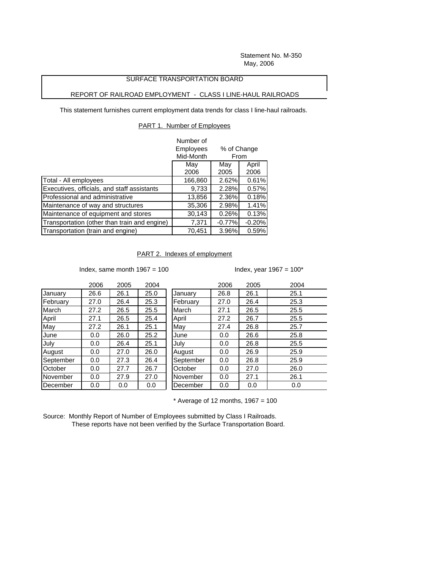Statement No. M-350 May, 2006

## SURFACE TRANSPORTATION BOARD

## REPORT OF RAILROAD EMPLOYMENT - CLASS I LINE-HAUL RAILROADS

This statement furnishes current employment data trends for class I line-haul railroads.

## PART 1. Number of Employees

|                                              | Number of        |                     |          |  |
|----------------------------------------------|------------------|---------------------|----------|--|
|                                              | <b>Employees</b> | % of Change<br>From |          |  |
|                                              | Mid-Month        |                     |          |  |
|                                              | May              | May                 | April    |  |
|                                              | 2006             | 2005                | 2006     |  |
| Total - All employees                        | 166,860          | 2.62%               | 0.61%    |  |
| Executives, officials, and staff assistants  | 9,733            | 2.28%               | 0.57%    |  |
| Professional and administrative              | 13,856           | 2.36%               | 0.18%    |  |
| Maintenance of way and structures            | 35,306           | 2.98%               | 1.41%    |  |
| Maintenance of equipment and stores          | 30,143           | 0.26%               | 0.13%    |  |
| Transportation (other than train and engine) | 7,371            | $-0.77%$            | $-0.20%$ |  |
| Transportation (train and engine)            | 70,451           | 3.96%               | 0.59%    |  |

PART 2. Indexes of employment

Index, same month  $1967 = 100$  Index, year  $1967 = 100^*$ 

|           | 2006 | 2005 | 2004 |           | 2006 | 2005 | 2004 |
|-----------|------|------|------|-----------|------|------|------|
| January   | 26.6 | 26.1 | 25.0 | January   | 26.8 | 26.1 | 25.1 |
| February  | 27.0 | 26.4 | 25.3 | February  | 27.0 | 26.4 | 25.3 |
| March     | 27.2 | 26.5 | 25.5 | March     | 27.1 | 26.5 | 25.5 |
| April     | 27.1 | 26.5 | 25.4 | April     | 27.2 | 26.7 | 25.5 |
| May       | 27.2 | 26.1 | 25.1 | May       | 27.4 | 26.8 | 25.7 |
| June      | 0.0  | 26.0 | 25.2 | June      | 0.0  | 26.6 | 25.8 |
| July      | 0.0  | 26.4 | 25.1 | July      | 0.0  | 26.8 | 25.5 |
| August    | 0.0  | 27.0 | 26.0 | August    | 0.0  | 26.9 | 25.9 |
| September | 0.0  | 27.3 | 26.4 | September | 0.0  | 26.8 | 25.9 |
| October   | 0.0  | 27.7 | 26.7 | October   | 0.0  | 27.0 | 26.0 |
| November  | 0.0  | 27.9 | 27.0 | November  | 0.0  | 27.1 | 26.1 |
| December  | 0.0  | 0.0  | 0.0  | December  | 0.0  | 0.0  | 0.0  |

 $*$  Average of 12 months, 1967 = 100

Source: Monthly Report of Number of Employees submitted by Class I Railroads. These reports have not been verified by the Surface Transportation Board.